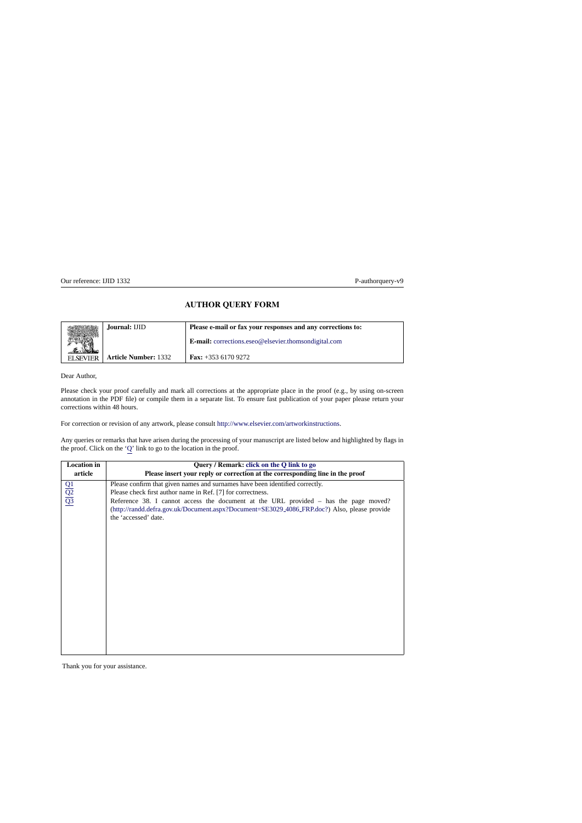# **AUTHOR QUERY FORM**

<span id="page-0-2"></span>

|                 | Journal: <b>IJID</b>        | Please e-mail or fax your responses and any corrections to: |
|-----------------|-----------------------------|-------------------------------------------------------------|
|                 |                             | <b>E-mail:</b> corrections.eseo@elsevier.thomsondigital.com |
| <b>FLSEVIER</b> | <b>Article Number: 1332</b> | <b>Fax:</b> $+35361709272$                                  |

<span id="page-0-0"></span>Dear Author,

Please check your proof carefully and mark all corrections at the appropriate place in the proof (e.g., by using on-screen annotation in the PDF file) or compile them in a separate list. To ensure fast publication of your paper please return your corrections within 48 hours.

For correction or revision of any artwork, please consult [http://www.elsevier.com/artworkinstructions.](http://www.elsevier.com/artworkinstructions)

Any queries or remarks that have arisen during the processing of your manuscript are listed below and highlighted by flags in the proof. Click on the 'Q' link to go to the location in the proof.

| <b>Location</b> in                    | Query / Remark: click on the Q link to go                                                                                                                                                                    |  |  |  |  |
|---------------------------------------|--------------------------------------------------------------------------------------------------------------------------------------------------------------------------------------------------------------|--|--|--|--|
| article                               | Please insert your reply or correction at the corresponding line in the proof                                                                                                                                |  |  |  |  |
|                                       | Please confirm that given names and surnames have been identified correctly.                                                                                                                                 |  |  |  |  |
|                                       | Please check first author name in Ref. [7] for correctness.                                                                                                                                                  |  |  |  |  |
| $\frac{\overline{Q1}}{\overline{Q2}}$ | Reference 38. I cannot access the document at the URL provided – has the page moved?<br>(http://randd.defra.gov.uk/Document.aspx?Document=SE3029_4086_FRP.doc?) Also, please provide<br>the 'accessed' date. |  |  |  |  |
|                                       |                                                                                                                                                                                                              |  |  |  |  |
|                                       |                                                                                                                                                                                                              |  |  |  |  |
|                                       |                                                                                                                                                                                                              |  |  |  |  |
|                                       |                                                                                                                                                                                                              |  |  |  |  |
|                                       |                                                                                                                                                                                                              |  |  |  |  |
|                                       |                                                                                                                                                                                                              |  |  |  |  |
|                                       |                                                                                                                                                                                                              |  |  |  |  |
|                                       |                                                                                                                                                                                                              |  |  |  |  |
|                                       |                                                                                                                                                                                                              |  |  |  |  |
|                                       |                                                                                                                                                                                                              |  |  |  |  |
|                                       |                                                                                                                                                                                                              |  |  |  |  |

<span id="page-0-1"></span>Thank you for your assistance.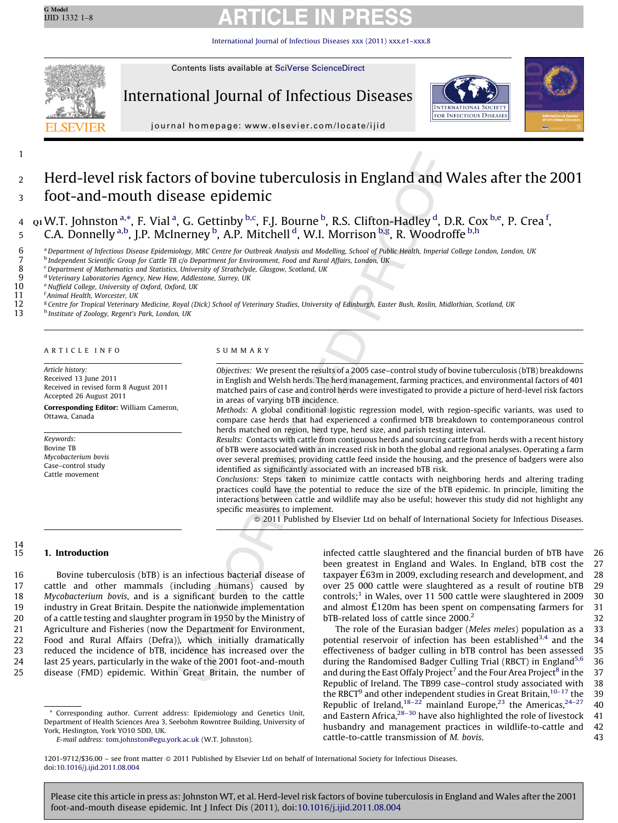International Journal of Infectious Diseases xxx (2011) [xxx.e1–xxx.8](http://dx.doi.org/10.1016/j.ijid.2011.08.004)



1

2 3

<span id="page-1-0"></span>11 12 13 Contents lists available at SciVerse [ScienceDirect](http://www.sciencedirect.com/science/journal/12019712)

International Journal of Infectious Diseases



journal homepa ge: www.elsevier.com/locate/ijid

# Herd-level risk factors of bovine tuberculosis in England and Wales after the 2001 foot-and-mouth disease epidemic

q1 W.T. Johnston <sup>a,\*</sup>, F. Vial <sup>a</sup>, G. Gettinby <sup>b,c</sup>, F.J. Bourne <sup>b</sup>, R.S. Clifton-Hadley <sup>d</sup>, D.R. Cox <sup>b,e</sup>, P. Crea <sup>f</sup>, C.A. Donnelly <sup>a,b</sup>, J.P. McInerney <sup>b</sup>, A.P. Mitchell <sup>d</sup>, W.I. Morrison <sup>b,g</sup>, R. Woodroffe <sup>b,h</sup>

a Department of Infectious Disease Epidemiology, MRC Centre for Outbreak Analysis and Modelling, School of Public Health, Imperial College London, London, UK

**b** Independent Scientific Group for Cattle TB c/o Department for Environment, Food and Rural Affairs, London, UK

**E**<br>Commitment of Mathematics and Statistics, University of Strathclyde, Glasgow, Scotland, UK

<sup>d</sup> Veterinary Laboratories Agency, New Haw, Addlestone, Surrey, UK

e Nuffield College, University of Oxford, Oxford, UK 10

f Animal Health, Worcester, UK

h Institute of Zoology, Regent's Park, London, UK

### A R T I C L E I N F O

Article history: Received 13 June 2011 Received in revised form 8 August 2011 Accepted 26 August 2011

Corresponding Editor: William Cameron, Ottawa, Canada

Keywords: Bovine TB Mycobacterium bovis Case–control study Cattle movement

### S U M M A R Y

Objectives: We present the results of a 2005 case–control study of bovine tuberculosis (bTB) breakdowns in English and Welsh herds. The herd management, farming practices, and environmental factors of 401 matched pairs of case and control herds were investigated to provide a picture of herd-level risk factors in areas of varying bTB incidence.

Methods: A global conditional logistic regression model, with region-specific variants, was used to compare case herds that had experienced a confirmed bTB breakdown to contemporaneous control herds matched on region, herd type, herd size, and parish testing interval.

Results: Contacts with cattle from contiguous herds and sourcing cattle from herds with a recent history of bTB were associated with an increased risk in both the global and regional analyses. Operating a farm over several premises, providing cattle feed inside the housing, and the presence of badgers were also identified as significantly associated with an increased bTB risk.

Conclusions: Steps taken to minimize cattle contacts with neighboring herds and altering trading practices could have the potential to reduce the size of the bTB epidemic. In principle, limiting the interactions between cattle and wildlife may also be useful; however this study did not highlight any specific measures to implement.

- 2011 Published by Elsevier Ltd on behalf of International Society for Infectious Diseases.

14 15

21

### 1. Introduction

Bovine tuberculosis (bTB) is an infectious bacterial disease of cattle and other mammals (including humans) caused by Mycobacterium bovis, and is a significant burden to the cattle industry in Great Britain. Despite the nationwide implementation of a cattle testing and slaughter program in 1950 by the Ministry of Agriculture and Fisheries (now the Department for Environment, Food and Rural Affairs (Defra)), which initially dramatically reduced the incidence of bTB, incidence has increased over the last 25 years, particularly in the wake of the 2001 foot-and-mouth disease (FMD) epidemic. Within Great Britain, the number of 16 17 18 19 20 22 23 24 25

infected cattle slaughtered and the financial burden of bTB have been greatest in England and Wales. In England, bTB cost the taxpayer £63m in 2009, excluding research and development, and over 25 000 cattle were slaughtered as a result of routine bTB  $controls$ <sup>1</sup>; in Wales, over 11 500 cattle were slaughtered in 2009 and almost £120m has been spent on compensating farmers for bTB-related loss of cattle since [2](#page-7-1)000.<sup>2</sup> 26 27 28 29 30 31 32

The role of the Eurasian badger (Meles meles) population as a potential reservoir of infection has been established<sup>3,4</sup> and the effectiveness of badger culling in bTB control has been assessed during the Randomised Badger Culling Trial (RBCT) in England<sup>[5,6](#page-7-1)</sup> and during the East Offaly Project<sup>7</sup> and the Four Area Project<sup>[8](#page-7-1)</sup> in the Republic of Ireland. The TB99 case–control study associated with the RBCT<sup>[9](#page-7-1)</sup> and other independent studies in Great Britain,  $10-17$  the Republic of Ireland,<sup>[18–22](#page-7-1)</sup> mainland Europe,<sup>[23](#page-7-1)</sup> the Americas,<sup>24–27</sup> and Eastern Africa,<sup>[28–30](#page-7-1)</sup> have also highlighted the role of livestock husbandry and management practices in wildlife-to-cattle and cattle-to-cattle transmission of M. bovis. 33 34 35 36 37 38 39 40 41 42 43

<sup>&</sup>lt;sup>g</sup> Centre for Tropical Veterinary Medicine, Royal (Dick) School of Veterinary Studies, University of Edinburgh, Easter Bush, Roslin, Midlothian, Scotland, UK

Corresponding author. Current address: Epidemiology and Genetics Unit, Department of Health Sciences Area 3, Seebohm Rowntree Building, University of York, Heslington, York YO10 5DD, UK.

E-mail address: [tom.johnston@egu.york.ac.uk](mailto:tom.johnston@egu.york.ac.uk) (W.T. Johnston).

<sup>1201-9712/\$36.00 –</sup> see front matter @ 2011 Published by Elsevier Ltd on behalf of International Society for Infectious Diseases. doi:[10.1016/j.ijid.2011.08.004](http://dx.doi.org/10.1016/j.ijid.2011.08.004)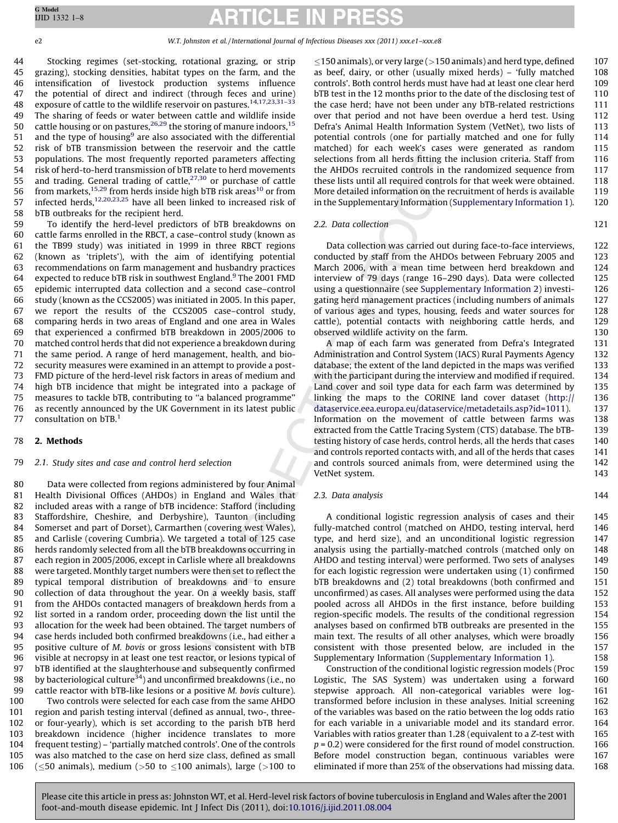### e2 W.T. Johnston et al. / International Journal of Infectious Diseases xxx (2011) xxx.e1-xxx.e8

Stocking regimes (set-stocking, rotational grazing, or strip grazing), stocking densities, habitat types on the farm, and the intensification of livestock production systems influence the potential of direct and indirect (through feces and urine) exposure of cattle to the wildlife reservoir on pastures.<sup>14,17,23,31-33</sup> The sharing of feeds or water between cattle and wildlife inside cattle housing or on pastures,  $26,29$  the storing of manure indoors,  $15$ and the type of housing $9$  are also associated with the differential risk of bTB transmission between the reservoir and the cattle populations. The most frequently reported parameters affecting risk of herd-to-herd transmission of bTB relate to herd movements and trading. General trading of cattle, $27,30$  or purchase of cattle from markets,  $15,29$  from herds inside high bTB risk areas  $10$  or from infected herds,<sup>[12,20,23,25](#page-7-1)</sup> have all been linked to increased risk of bTB outbreaks for the recipient herd. 44 45 46 47 48 49 50 51 52 53 54 55 56 57 58

To identify the herd-level predictors of bTB breakdowns on cattle farms enrolled in the RBCT, a case–control study (known as the TB99 study) was initiated in 1999 in three RBCT regions (known as 'triplets'), with the aim of identifying potential recommendations on farm management and husbandry practices expected to reduce bTB risk in southwest England.<sup>9</sup> The 2001 FMD epidemic interrupted data collection and a second case–control study (known as the CCS2005) was initiated in 2005. In this paper, we report the results of the CCS2005 case–control study, comparing herds in two areas of England and one area in Wales that experienced a confirmed bTB breakdown in 2005/2006 to matched control herds that did not experience a breakdown during the same period. A range of herd management, health, and biosecurity measures were examined in an attempt to provide a post-FMD picture of the herd-level risk factors in areas of medium and high bTB incidence that might be integrated into a package of measures to tackle bTB, contributing to ''a balanced programme'' as recently announced by the UK Government in its latest public consultation on bTB.<sup>[1](#page-7-1)</sup> 59 60 61 62 63 64 65 66 67 68 69 70 71 72 73 74 75 76 77

### 2. Methods 78

### 2.1. Study sites and case and control herd selection 79

Data were collected from regions administered by four Animal Health Divisional Offices (AHDOs) in England and Wales that included areas with a range of bTB incidence: Stafford (including Staffordshire, Cheshire, and Derbyshire), Taunton (including Somerset and part of Dorset), Carmarthen (covering west Wales), and Carlisle (covering Cumbria). We targeted a total of 125 case herds randomly selected from all the bTB breakdowns occurring in each region in 2005/2006, except in Carlisle where all breakdowns were targeted. Monthly target numbers were then set to reflect the typical temporal distribution of breakdowns and to ensure collection of data throughout the year. On a weekly basis, staff from the AHDOs contacted managers of breakdown herds from a list sorted in a random order, proceeding down the list until the allocation for the week had been obtained. The target numbers of case herds included both confirmed breakdowns (i.e., had either a positive culture of M. bovis or gross lesions consistent with bTB visible at necropsy in at least one test reactor, or lesions typical of bTB identified at the slaughterhouse and subsequently confirmed by bacteriological culture<sup>[34](#page-7-1)</sup>) and unconfirmed breakdowns (i.e., no cattle reactor with bTB-like lesions or a positive M. bovis culture). Two controls were selected for each case from the same AHDO region and parish testing interval (defined as annual, two-, threeor four-yearly), which is set according to the parish bTB herd breakdown incidence (higher incidence translates to more frequent testing) – 'partially matched controls'. One of the controls was also matched to the case on herd size class, defined as small ( $\leq$ 50 animals), medium (>50 to  $\leq$ 100 animals), large (>100 to 80 81 82 83 84 85 86 87 88 89 90 91 92 93 94 95 96 97 98 99 100 101 102 103 104 105 106

 $\le$ 150 animals), or very large ( $>$ 150 animals) and herd type, defined as beef, dairy, or other (usually mixed herds) – 'fully matched controls'. Both control herds must have had at least one clear herd bTB test in the 12 months prior to the date of the disclosing test of the case herd; have not been under any bTB-related restrictions over that period and not have been overdue a herd test. Using Defra's Animal Health Information System (VetNet), two lists of potential controls (one for partially matched and one for fully matched) for each week's cases were generated as random selections from all herds fitting the inclusion criteria. Staff from the AHDOs recruited controls in the randomized sequence from these lists until all required controls for that week were obtained. More detailed information on the recruitment of herds is available in the Supplementary Information (Supplementary Information 1). 107 108 109 110 111 112 113 114 115 116 117 118 119 120

121

122 123 124

144

## 2.2. Data collection

Data collection was carried out during face-to-face interviews, conducted by staff from the AHDOs between February 2005 and March 2006, with a mean time between herd breakdown and interview of 79 days (range 16–290 days). Data were collected using a questionnaire (see Supplementary Information 2) investigating herd management practices (including numbers of animals of various ages and types, housing, feeds and water sources for cattle), potential contacts with neighboring cattle herds, and observed wildlife activity on the farm. 125 126 127 128 129 130

A map of each farm was generated from Defra's Integrated Administration and Control System (IACS) Rural Payments Agency database; the extent of the land depicted in the maps was verified with the participant during the interview and modified if required. Land cover and soil type data for each farm was determined by linking the maps to the CORINE land cover dataset ([http://](http://dataservice.eea.europa.eu/dataservice/metadetails.asp%3Fid=1011) [dataservice.eea.europa.eu/dataservice/metadetails.asp?id=1011](http://dataservice.eea.europa.eu/dataservice/metadetails.asp%3Fid=1011)). Information on the movement of cattle between farms was extracted from the Cattle Tracing System (CTS) database. The bTBtesting history of case herds, control herds, all the herds that cases and controls reported contacts with, and all of the herds that cases and controls sourced animals from, were determined using the VetNet system.

## 2.3. Data analysis

A conditional logistic regression analysis of cases and their fully-matched control (matched on AHDO, testing interval, herd type, and herd size), and an unconditional logistic regression analysis using the partially-matched controls (matched only on AHDO and testing interval) were performed. Two sets of analyses for each logistic regression were undertaken using (1) confirmed bTB breakdowns and (2) total breakdowns (both confirmed and unconfirmed) as cases. All analyses were performed using the data pooled across all AHDOs in the first instance, before building region-specific models. The results of the conditional regression analyses based on confirmed bTB outbreaks are presented in the main text. The results of all other analyses, which were broadly consistent with those presented below, are included in the Supplementary Information (Supplementary Information 1). 145 146 147 148 149 150 151 152 153 154 155 156 157 158 159

Construction of the conditional logistic regression models (Proc Logistic, The SAS System) was undertaken using a forward stepwise approach. All non-categorical variables were logtransformed before inclusion in these analyses. Initial screening of the variables was based on the ratio between the log odds ratio for each variable in a univariable model and its standard error. Variables with ratios greater than 1.28 (equivalent to a Z-test with  $p = 0.2$ ) were considered for the first round of model construction. Before model construction began, continuous variables were eliminated if more than 25% of the observations had missing data.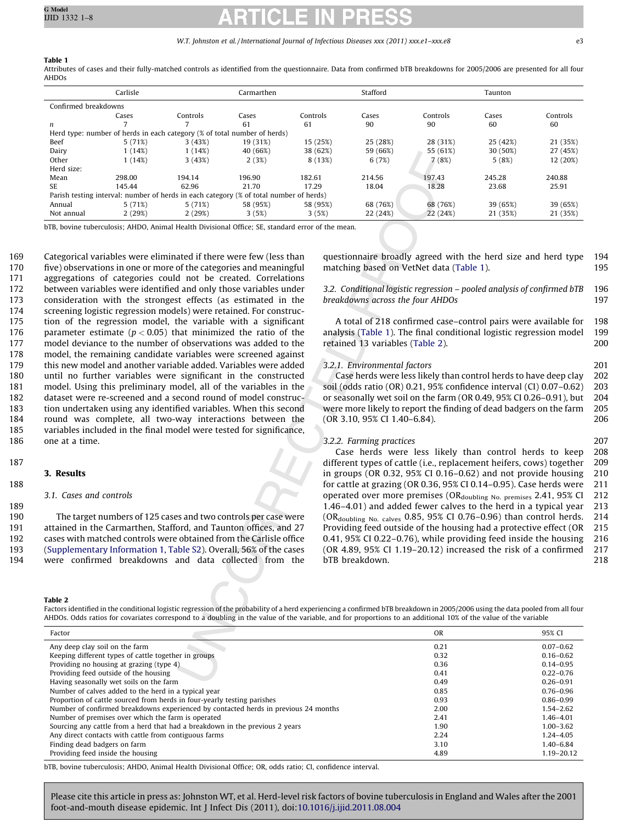### W.T. Johnston et al. / International Journal of Infectious Diseases xxx (2011) xxx.e1-xxx.e8 e3

### <span id="page-3-0"></span>Table 1

Attributes of cases and their fully-matched controls as identified from the questionnaire. Data from confirmed bTB breakdowns for 2005/2006 are presented for all four AHDOs

|                                                                                        | Carlisle |          | Carmarthen |          | Stafford |          | Taunton  |          |
|----------------------------------------------------------------------------------------|----------|----------|------------|----------|----------|----------|----------|----------|
| Confirmed breakdowns                                                                   |          |          |            |          |          |          |          |          |
|                                                                                        | Cases    | Controls | Cases      | Controls | Cases    | Controls | Cases    | Controls |
| n                                                                                      |          |          | 61         | 61       | 90       | 90       | 60       | 60       |
| Herd type: number of herds in each category (% of total number of herds)               |          |          |            |          |          |          |          |          |
| Beef                                                                                   | 5(71%)   | 3(43%)   | 19 (31%)   | 15 (25%) | 25 (28%) | 28 (31%) | 25 (42%) | 21 (35%) |
| Dairy                                                                                  | 1(14%)   | 1(14%)   | 40 (66%)   | 38 (62%) | 59 (66%) | 55 (61%) | 30 (50%) | 27 (45%) |
| Other                                                                                  | 1(14%)   | 3(43%)   | 2(3%)      | 8 (13%)  | 6 (7%)   | 7(8%)    | 5(8%)    | 12 (20%) |
| Herd size:                                                                             |          |          |            |          |          |          |          |          |
| Mean                                                                                   | 298.00   | 194.14   | 196.90     | 182.61   | 214.56   | 197.43   | 245.28   | 240.88   |
| <b>SE</b>                                                                              | 145.44   | 62.96    | 21.70      | 17.29    | 18.04    | 18.28    | 23.68    | 25.91    |
| Parish testing interval: number of herds in each category (% of total number of herds) |          |          |            |          |          |          |          |          |
| Annual                                                                                 | 5(71%)   | 5(71%)   | 58 (95%)   | 58 (95%) | 68 (76%) | 68 (76%) | 39 (65%) | 39 (65%) |
| Not annual                                                                             | 2(29%)   | 2(29%)   | 3(5%)      | 3(5%)    | 22 (24%) | 22(24%)  | 21 (35%) | 21 (35%) |

bTB, bovine tuberculosis; AHDO, Animal Health Divisional Office; SE, standard error of the mean.

Categorical variables were eliminated if there were few (less than five) observations in one or more of the categories and meaningful aggregations of categories could not be created. Correlations between variables were identified and only those variables under consideration with the strongest effects (as estimated in the screening logistic regression models) were retained. For construction of the regression model, the variable with a significant parameter estimate ( $p < 0.05$ ) that minimized the ratio of the model deviance to the number of observations was added to the model, the remaining candidate variables were screened against this new model and another variable added. Variables were added until no further variables were significant in the constructed model. Using this preliminary model, all of the variables in the dataset were re-screened and a second round of model construction undertaken using any identified variables. When this second round was complete, all two-way interactions between the variables included in the final model were tested for significance, one at a time. 169 170 171 172 173 174 175 176 177 178 179 180 181 182 183 184 185 186

### 187

188 189

## 3. Results

3.1. Cases and controls

The target numbers of 125 cases and two controls per case were attained in the Carmarthen, Stafford, and Taunton offices, and 27 cases with matched controls were obtained from the Carlisle office (Supplementary Information 1, Table S2). Overall, 56% of the cases were confirmed breakdowns and data collected from the 190 191 192 193 194

questionnaire broadly agreed with the herd size and herd type matching based on VetNet data (Table 1). 194 195

3.2. Conditional logistic regression – pooled analysis of confirmed bTB breakdowns across the four AHDOs 196 197

A total of 218 confirmed case–control pairs were available for analysis (Table 1). The final conditional logistic regression model retained 13 variables (Table 2). 198 199 200

### 3.2.1. Environmental factors

Case herds were less likely than control herds to have deep clay soil (odds ratio (OR) 0.21, 95% confidence interval (CI) 0.07–0.62) or seasonally wet soil on the farm (OR 0.49, 95% CI 0.26–0.91), but were more likely to report the finding of dead badgers on the farm (OR 3.10, 95% CI 1.40–6.84). 202 203 204 205 206

### 3.2.2. Farming practices

Case herds were less likely than control herds to keep different types of cattle (i.e., replacement heifers, cows) together in groups (OR 0.32, 95% CI 0.16–0.62) and not provide housing for cattle at grazing (OR 0.36, 95% CI 0.14–0.95). Case herds were operated over more premises (ORdoubling No. premises 2.41, 95% CI 1.46–4.01) and added fewer calves to the herd in a typical year (ORdoubling No. calves 0.85, 95% CI 0.76–0.96) than control herds. Providing feed outside of the housing had a protective effect (OR 0.41, 95% CI 0.22–0.76), while providing feed inside the housing (OR 4.89, 95% CI 1.19–20.12) increased the risk of a confirmed bTB breakdown. 208 209 210 211 212 213 214 215 216 217 218

Table 2

Factors identified in the conditional logistic regression of the probability of a herd experiencing a confirmed bTB breakdown in 2005/2006 using the data pooled from all four AHDOs. Odds ratios for covariates correspond to a doubling in the value of the variable, and for proportions to an additional 10% of the value of the variable

| Factor                                                                              | <b>OR</b> | 95% CI        |
|-------------------------------------------------------------------------------------|-----------|---------------|
| Any deep clay soil on the farm                                                      | 0.21      | $0.07 - 0.62$ |
| Keeping different types of cattle together in groups                                | 0.32      | $0.16 - 0.62$ |
| Providing no housing at grazing (type 4)                                            | 0.36      | $0.14 - 0.95$ |
| Providing feed outside of the housing                                               | 0.41      | $0.22 - 0.76$ |
| Having seasonally wet soils on the farm                                             | 0.49      | $0.26 - 0.91$ |
| Number of calves added to the herd in a typical year                                | 0.85      | $0.76 - 0.96$ |
| Proportion of cattle sourced from herds in four-yearly testing parishes             | 0.93      | $0.86 - 0.99$ |
| Number of confirmed breakdowns experienced by contacted herds in previous 24 months | 2.00      | $1.54 - 2.62$ |
| Number of premises over which the farm is operated                                  | 2.41      | 1.46-4.01     |
| Sourcing any cattle from a herd that had a breakdown in the previous 2 years        | 1.90      | $1.00 - 3.62$ |
| Any direct contacts with cattle from contiguous farms                               | 2.24      | 1.24-4.05     |
| Finding dead badgers on farm                                                        | 3.10      | $1.40 - 6.84$ |
| Providing feed inside the housing                                                   | 4.89      | 1.19-20.12    |

bTB, bovine tuberculosis; AHDO, Animal Health Divisional Office; OR, odds ratio; CI, confidence interval.

201

207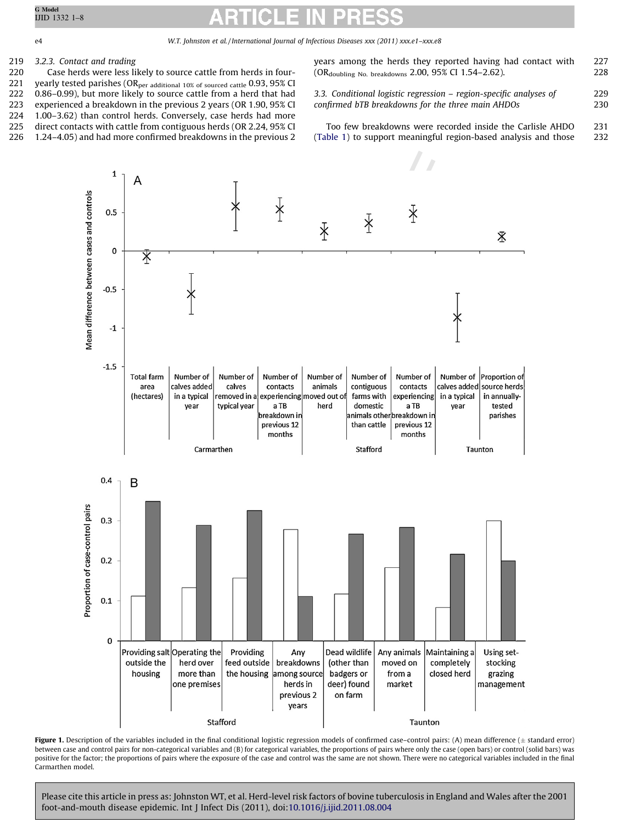e4 W.T. Johnston et al. / International Journal of Infectious Diseases xxx (2011) xxx.e1–xxx.e8

### 3.2.3. Contact and trading 219

Case herds were less likely to source cattle from herds in fouryearly tested parishes (ORper additional 10% of sourced cattle 0.93, 95% CI 0.86–0.99), but more likely to source cattle from a herd that had experienced a breakdown in the previous 2 years (OR 1.90, 95% CI 1.00–3.62) than control herds. Conversely, case herds had more direct contacts with cattle from contiguous herds (OR 2.24, 95% CI 220 221 222 223 224 225

1.24–4.05) and had more confirmed breakdowns in the previous 2 226

years among the herds they reported having had contact with (ORdoubling No. breakdowns 2.00, 95% CI 1.54–2.62). 227 228

3.3. Conditional logistic regression – region-specific analyses of confirmed bTB breakdowns for the three main AHDOs 229 230

Too few breakdowns were recorded inside the Carlisle AHDO ([Table](#page-3-0) 1) to support meaningful region-based analysis and those 231 232



Figure 1. Description of the variables included in the final conditional logistic regression models of confirmed case-control pairs: (A) mean difference  $(\pm$  standard error) between case and control pairs for non-categorical variables and (B) for categorical variables, the proportions of pairs where only the case (open bars) or control (solid bars) was positive for the factor; the proportions of pairs where the exposure of the case and control was the same are not shown. There were no categorical variables included in the final Carmarthen model.

<span id="page-4-0"></span>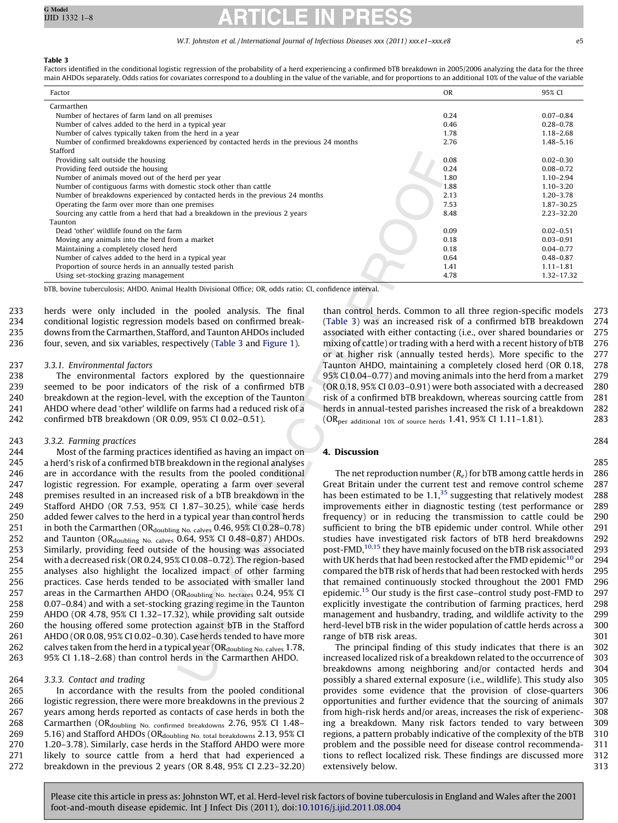## W.T. Johnston et al. / International Journal of Infectious Diseases xxx (2011) xxx.e1-xxx.e8 e5

## Table 3

Factors identified in the conditional logistic regression of the probability of a herd experiencing a confirmed bTB breakdown in 2005/2006 analyzing the data for the three main AHDOs separately. Odds ratios for covariates correspond to a doubling in the value of the variable, and for proportions to an additional 10% of the value of the variable

| Factor                                                                                  | <b>OR</b> | 95% CI         |
|-----------------------------------------------------------------------------------------|-----------|----------------|
| Carmarthen                                                                              |           |                |
| Number of hectares of farm land on all premises                                         | 0.24      | $0.07 - 0.84$  |
| Number of calves added to the herd in a typical year                                    | 0.46      | $0.28 - 0.78$  |
| Number of calves typically taken from the herd in a year                                | 1.78      | $1.18 - 2.68$  |
| Number of confirmed breakdowns experienced by contacted herds in the previous 24 months | 2.76      | $1.48 - 5.16$  |
| Stafford                                                                                |           |                |
| Providing salt outside the housing                                                      | 0.08      | $0.02 - 0.30$  |
| Providing feed outside the housing                                                      | 0.24      | $0.08 - 0.72$  |
| Number of animals moved out of the herd per year                                        | 1.80      | $1.10 - 2.94$  |
| Number of contiguous farms with domestic stock other than cattle                        | 1.88      | $1.10 - 3.20$  |
| Number of breakdowns experienced by contacted herds in the previous 24 months           | 2.13      | $1.20 - 3.78$  |
| Operating the farm over more than one premises                                          | 7.53      | 1.87-30.25     |
| Sourcing any cattle from a herd that had a breakdown in the previous 2 years            | 8.48      | $2.23 - 32.20$ |
| Taunton                                                                                 |           |                |
| Dead 'other' wildlife found on the farm                                                 | 0.09      | $0.02 - 0.51$  |
| Moving any animals into the herd from a market                                          | 0.18      | $0.03 - 0.91$  |
| Maintaining a completely closed herd                                                    | 0.18      | $0.04 - 0.77$  |
| Number of calves added to the herd in a typical year                                    | 0.64      | $0.48 - 0.87$  |
| Proportion of source herds in an annually tested parish                                 | 1.41      | $1.11 - 1.81$  |
| Using set-stocking grazing management                                                   | 4.78      | 1.32-17.32     |

bTB, bovine tuberculosis; AHDO, Animal Health Divisional Office; OR, odds ratio; CI, confidence interval.

herds were only included in the pooled analysis. The final conditional logistic regression models based on confirmed breakdowns from the Carmarthen, Stafford, and Taunton AHDOs included four, seven, and six variables, respectively (Table 3 and [Figure](#page-4-0) 1). 233 234 235 236

### 3.3.1. Environmental factors 237

The environmental factors explored by the questionnaire seemed to be poor indicators of the risk of a confirmed bTB breakdown at the region-level, with the exception of the Taunton AHDO where dead 'other' wildlife on farms had a reduced risk of a confirmed bTB breakdown (OR 0.09, 95% CI 0.02–0.51). 238 239 240 241 242

### 3.3.2. Farming practices 243

Most of the farming practices identified as having an impact on a herd's risk of a confirmed bTB breakdown in the regional analyses are in accordance with the results from the pooled conditional logistic regression. For example, operating a farm over several premises resulted in an increased risk of a bTB breakdown in the Stafford AHDO (OR 7.53, 95% CI 1.87–30.25), while case herds added fewer calves to the herd in a typical year than control herds in both the Carmarthen (ORdoubling No. calves 0.46, 95% CI 0.28-0.78) and Taunton (OR<sub>doubling No. calves</sub> 0.64, 95% CI 0.48-0.87) AHDOs. Similarly, providing feed outside of the housing was associated with a decreased risk (OR 0.24, 95% CI 0.08–0.72). The region-based analyses also highlight the localized impact of other farming practices. Case herds tended to be associated with smaller land areas in the Carmarthen AHDO (ORdoubling No. hectares 0.24, 95% CI 0.07–0.84) and with a set-stocking grazing regime in the Taunton AHDO (OR 4.78, 95% CI 1.32–17.32), while providing salt outside the housing offered some protection against bTB in the Stafford AHDO (OR 0.08, 95% CI 0.02–0.30). Case herds tended to have more calves taken from the herd in a typical year ( $OR_{\text{doubling No.}~\text{calves}}$  1.78, 95% CI 1.18–2.68) than control herds in the Carmarthen AHDO. 244 245 246 247 248 249 250 251 252 253 254 255 256 257 258 259 260 261 262 263

### 3.3.3. Contact and trading 264

In accordance with the results from the pooled conditional logistic regression, there were more breakdowns in the previous 2 years among herds reported as contacts of case herds in both the Carmarthen (ORdoubling No. confirmed breakdowns 2.76, 95% CI 1.48– 5.16) and Stafford AHDOs (ORdoubling No. total breakdowns 2.13, 95% CI 1.20–3.78). Similarly, case herds in the Stafford AHDO were more likely to source cattle from a herd that had experienced a breakdown in the previous 2 years (OR 8.48, 95% CI 2.23–32.20) 265 266 267 268 269 270 271 272

than control herds. Common to all three region-specific models (Table 3) was an increased risk of a confirmed bTB breakdown associated with either contacting (i.e., over shared boundaries or mixing of cattle) or trading with a herd with a recent history of bTB or at higher risk (annually tested herds). More specific to the Taunton AHDO, maintaining a completely closed herd (OR 0.18, 95% CI 0.04–0.77) and moving animals into the herd from a market (OR 0.18, 95% CI 0.03–0.91) were both associated with a decreased risk of a confirmed bTB breakdown, whereas sourcing cattle from herds in annual-tested parishes increased the risk of a breakdown (ORper additional 10% of source herds 1.41, 95% CI 1.11–1.81). 273 274 275 276 277 278 279 280 281 282 283

### 4. Discussion

The net reproduction number  $(R_e)$  for bTB among cattle herds in Great Britain under the current test and remove control scheme has been estimated to be  $1.1<sup>35</sup>$  $1.1<sup>35</sup>$  $1.1<sup>35</sup>$  suggesting that relatively modest improvements either in diagnostic testing (test performance or frequency) or in reducing the transmission to cattle could be sufficient to bring the bTB epidemic under control. While other studies have investigated risk factors of bTB herd breakdowns post-FMD,<sup>10,15</sup> they have mainly focused on the bTB risk associated with UK herds that had been restocked after the FMD epidemic $^{10}$  $^{10}$  $^{10}$  or compared the bTB risk of herds that had been restocked with herds that remained continuously stocked throughout the 2001 FMD epidemic.[15](#page-7-1) Our study is the first case–control study post-FMD to explicitly investigate the contribution of farming practices, herd management and husbandry, trading, and wildlife activity to the herd-level bTB risk in the wider population of cattle herds across a range of bTB risk areas. 286 287 288 289 290 291 292 293 294 295 296 297 298 299 300 301

The principal finding of this study indicates that there is an increased localized risk of a breakdown related to the occurrence of breakdowns among neighboring and/or contacted herds and possibly a shared external exposure (i.e., wildlife). This study also provides some evidence that the provision of close-quarters opportunities and further evidence that the sourcing of animals from high-risk herds and/or areas, increases the risk of experiencing a breakdown. Many risk factors tended to vary between regions, a pattern probably indicative of the complexity of the bTB problem and the possible need for disease control recommendations to reflect localized risk. These findings are discussed more extensively below. 302 303 304 305 306 307 308 309 310 311 312 313

284

285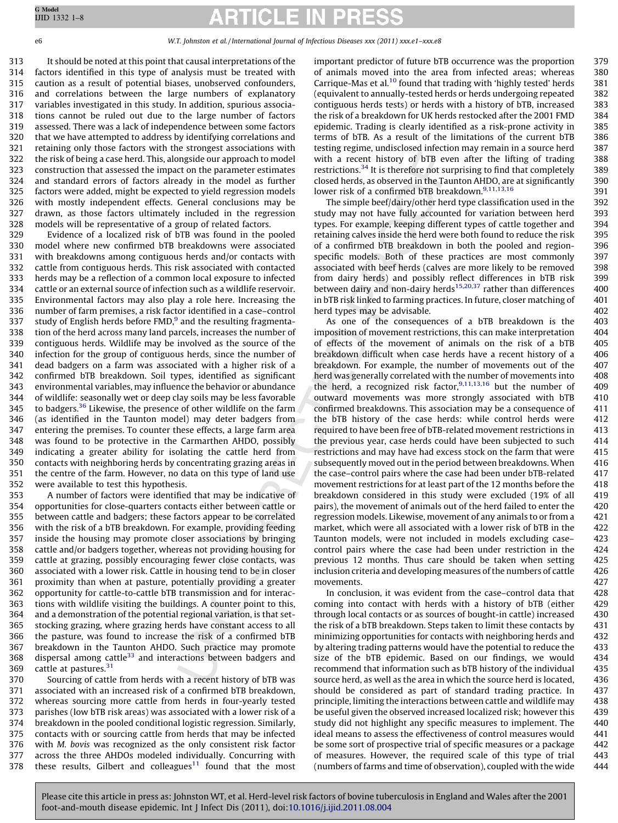e6 W.T. Johnston et al. / International Journal of Infectious Diseases xxx (2011) xxx.e1-xxx.e8

It should be noted at this point that causal interpretations of the factors identified in this type of analysis must be treated with caution as a result of potential biases, unobserved confounders, and correlations between the large numbers of explanatory variables investigated in this study. In addition, spurious associations cannot be ruled out due to the large number of factors assessed. There was a lack of independence between some factors that we have attempted to address by identifying correlations and retaining only those factors with the strongest associations with the risk of being a case herd. This, alongside our approach to model construction that assessed the impact on the parameter estimates and standard errors of factors already in the model as further factors were added, might be expected to yield regression models with mostly independent effects. General conclusions may be drawn, as those factors ultimately included in the regression models will be representative of a group of related factors. 313 314 315 316 317 318 319 320 321 322 323 324 325 326 327 328

Evidence of a localized risk of bTB was found in the pooled model where new confirmed bTB breakdowns were associated with breakdowns among contiguous herds and/or contacts with cattle from contiguous herds. This risk associated with contacted herds may be a reflection of a common local exposure to infected cattle or an external source of infection such as a wildlife reservoir. Environmental factors may also play a role here. Increasing the number of farm premises, a risk factor identified in a case–control study of English herds before  $FMD$ ,<sup>[9](#page-7-1)</sup> and the resulting fragmentation of the herd across many land parcels, increases the number of contiguous herds. Wildlife may be involved as the source of the infection for the group of contiguous herds, since the number of dead badgers on a farm was associated with a higher risk of a confirmed bTB breakdown. Soil types, identified as significant environmental variables, may influence the behavior or abundance of wildlife: seasonally wet or deep clay soils may be less favorable to badgers.[36](#page-7-1) Likewise, the presence of other wildlife on the farm (as identified in the Taunton model) may deter badgers from entering the premises. To counter these effects, a large farm area was found to be protective in the Carmarthen AHDO, possibly indicating a greater ability for isolating the cattle herd from contacts with neighboring herds by concentrating grazing areas in the centre of the farm. However, no data on this type of land use were available to test this hypothesis. 329 330 331 332 333 334 335 336 337 338 339 340 341 342 343 344 345 346 347 348 349 350 351 352

A number of factors were identified that may be indicative of opportunities for close-quarters contacts either between cattle or between cattle and badgers; these factors appear to be correlated with the risk of a bTB breakdown. For example, providing feeding inside the housing may promote closer associations by bringing cattle and/or badgers together, whereas not providing housing for cattle at grazing, possibly encouraging fewer close contacts, was associated with a lower risk. Cattle in housing tend to be in closer proximity than when at pasture, potentially providing a greater opportunity for cattle-to-cattle bTB transmission and for interactions with wildlife visiting the buildings. A counter point to this, and a demonstration of the potential regional variation, is that setstocking grazing, where grazing herds have constant access to all the pasture, was found to increase the risk of a confirmed bTB breakdown in the Taunton AHDO. Such practice may promote dispersal among cattle $33$  and interactions between badgers and cattle at pastures.<sup>[31](#page-7-1)</sup> 353 354 355 356 357 358 359 360 361 362 363 364 365 366 367 368 369

Sourcing of cattle from herds with a recent history of bTB was associated with an increased risk of a confirmed bTB breakdown, whereas sourcing more cattle from herds in four-yearly tested parishes (low bTB risk areas) was associated with a lower risk of a breakdown in the pooled conditional logistic regression. Similarly, contacts with or sourcing cattle from herds that may be infected with M. bovis was recognized as the only consistent risk factor across the three AHDOs modeled individually. Concurring with these results, Gilbert and colleagues $11$  found that the most 370 371 372 373 374 375 376 377 378

important predictor of future bTB occurrence was the proportion of animals moved into the area from infected areas; whereas Carrique-Mas et al. $10$  found that trading with 'highly tested' herds (equivalent to annually-tested herds or herds undergoing repeated contiguous herds tests) or herds with a history of bTB, increased the risk of a breakdown for UK herds restocked after the 2001 FMD epidemic. Trading is clearly identified as a risk-prone activity in terms of bTB. As a result of the limitations of the current bTB testing regime, undisclosed infection may remain in a source herd with a recent history of bTB even after the lifting of trading restrictions.<sup>[34](#page-7-1)</sup> It is therefore not surprising to find that completely closed herds, as observed in the Taunton AHDO, are at significantly lower risk of a confirmed bTB breakdown.<sup>[9,11,13,16](#page-7-1)</sup> 379 380 381 382 383 384 385 386 387 388 389 390 391

The simple beef/dairy/other herd type classification used in the study may not have fully accounted for variation between herd types. For example, keeping different types of cattle together and retaining calves inside the herd were both found to reduce the risk of a confirmed bTB breakdown in both the pooled and regionspecific models. Both of these practices are most commonly associated with beef herds (calves are more likely to be removed from dairy herds) and possibly reflect differences in bTB risk between dairy and non-dairy herds $15,20,37$  rather than differences in bTB risk linked to farming practices. In future, closer matching of herd types may be advisable.

As one of the consequences of a bTB breakdown is the imposition of movement restrictions, this can make interpretation of effects of the movement of animals on the risk of a bTB breakdown difficult when case herds have a recent history of a breakdown. For example, the number of movements out of the herd was generally correlated with the number of movements into the herd, a recognized risk factor,  $9,11,13,16$  but the number of outward movements was more strongly associated with bTB confirmed breakdowns. This association may be a consequence of the bTB history of the case herds: while control herds were required to have been free of bTB-related movement restrictions in the previous year, case herds could have been subjected to such restrictions and may have had excess stock on the farm that were subsequently moved out in the period between breakdowns. When the case–control pairs where the case had been under bTB-related movement restrictions for at least part of the 12 months before the breakdown considered in this study were excluded (19% of all pairs), the movement of animals out of the herd failed to enter the regression models. Likewise, movement of any animals to or from a market, which were all associated with a lower risk of bTB in the Taunton models, were not included in models excluding case– control pairs where the case had been under restriction in the previous 12 months. Thus care should be taken when setting inclusion criteria and developing measures of the numbers of cattle movements.

In conclusion, it was evident from the case–control data that coming into contact with herds with a history of bTB (either through local contacts or as sources of bought-in cattle) increased the risk of a bTB breakdown. Steps taken to limit these contacts by minimizing opportunities for contacts with neighboring herds and by altering trading patterns would have the potential to reduce the size of the bTB epidemic. Based on our findings, we would recommend that information such as bTB history of the individual source herd, as well as the area in which the source herd is located, should be considered as part of standard trading practice. In principle, limiting the interactions between cattle and wildlife may be useful given the observed increased localized risk; however this study did not highlight any specific measures to implement. The ideal means to assess the effectiveness of control measures would be some sort of prospective trial of specific measures or a package of measures. However, the required scale of this type of trial (numbers of farms and time of observation), coupled with the wide 428 429 430 431 432 433 434 435 436 437 438 439 440 441 442 443 444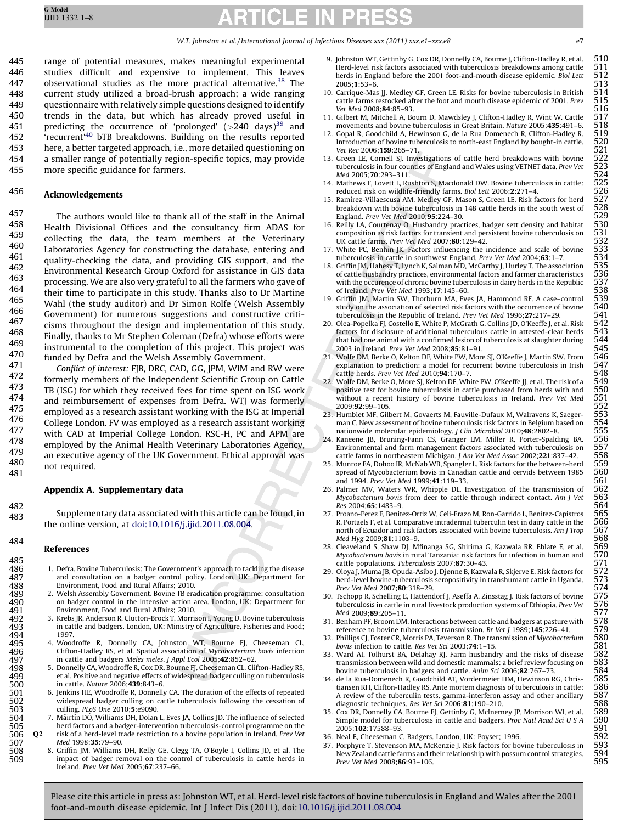W.T. Johnston et al. / International Journal of Infectious Diseases xxx (2011) xxx.e1-xxx.e8 e7

<span id="page-7-1"></span>range of potential measures, makes meaningful experimental studies difficult and expensive to implement. This leaves observational studies as the more practical alternative.<sup>[38](#page-8-1)</sup> The current study utilized a broad-brush approach; a wide ranging questionnaire with relatively simple questions designed to identify trends in the data, but which has already proved useful in predicting the occurrence of 'prolonged'  $(>240$  days)<sup>39</sup> and 'recurrent['40](#page-8-1) bTB breakdowns. Building on the results reported here, a better targeted approach, i.e., more detailed questioning on a smaller range of potentially region-specific topics, may provide more specific guidance for farmers. 445 446 447 448 449 450 451 452 453 454 455

### Acknowledgements 456

The authors would like to thank all of the staff in the Animal Health Divisional Offices and the consultancy firm ADAS for collecting the data, the team members at the Veterinary Laboratories Agency for constructing the database, entering and quality-checking the data, and providing GIS support, and the Environmental Research Group Oxford for assistance in GIS data processing. We are also very grateful to all the farmers who gave of their time to participate in this study. Thanks also to Dr Martine Wahl (the study auditor) and Dr Simon Rolfe (Welsh Assembly Government) for numerous suggestions and constructive criticisms throughout the design and implementation of this study. Finally, thanks to Mr Stephen Coleman (Defra) whose efforts were instrumental to the completion of this project. This project was funded by Defra and the Welsh Assembly Government. 457 458 459 460 461 462 463 464 465 466 467 468 469 470

<span id="page-7-0"></span>Conflict of interest: FJB, DRC, CAD, GG, JPM, WIM and RW were formerly members of the Independent Scientific Group on Cattle TB (ISG) for which they received fees for time spent on ISG work and reimbursement of expenses from Defra. WTJ was formerly employed as a research assistant working with the ISG at Imperial College London. FV was employed as a research assistant working with CAD at Imperial College London. RSC-H, PC and APM are employed by the Animal Health Veterinary Laboratories Agency, an executive agency of the UK Government. Ethical approval was not required. 471 472 473 474 475 476 477 478 479 480 481

## Appendix A. Supplementary data

Supplementary data associated with this article can be found, in the online version, at [doi:10.1016/j.ijid.2011.08.004.](http://dx.doi.org/10.1016/j.ijid.2011.08.004)

## References

482 483

- 1. Defra. Bovine Tuberculosis: The Government's approach to tackling the disease and consultation on a badger control policy. London, UK: Department for Environment, Food and Rural Affairs; 2010.
- 2. Welsh Assembly Government. Bovine TB eradication programme: consultation on badger control in the intensive action area. London, UK: Department for Environment, Food and Rural Affairs; 2010.
- 3. Krebs JR, Anderson R, Clutton-Brock T, Morrison I, Young D. Bovine tuberculosis in cattle and badgers. London, UK: Ministry of Agriculture, Fisheries and Food; 1997.
- 4. Woodroffe R, Donnelly CA, Johnston WT, Bourne FJ, Cheeseman CL, Clifton-Hadley RS, et al. Spatial association of Mycobacterium bovis infection in cattle and badgers Meles meles. J Appl Ecol 2005;42:852–62.
- 5. Donnelly CA, Woodroffe R, Cox DR, Bourne FJ, Cheeseman CL, Clifton-Hadley RS, et al. Positive and negative effects of widespread badger culling on tuberculosis in cattle. Nature 2006;439:843–6.
- 6. Jenkins HE, Woodroffe R, Donnelly CA. The duration of the effects of repeated widespread badger culling on cattle tuberculosis following the cessation of culling. PLoS One 2010;5:e9090.
- 7. Máirtín DÓ, Williams DH, Dolan L, Eves JA, Collins JD. The influence of selected herd factors and a badger-intervention tuberculosis-control programme on the [Q2](#page-0-1) risk of a herd-level trade restriction to a bovine population in Ireland. Prev Vet
	- Med 1998;35:79–90. 8. Griffin JM, Williams DH, Kelly GE, Clegg TA, O'Boyle I, Collins JD, et al. The impact of badger removal on the control of tuberculosis in cattle herds in Ireland. Prev Vet Med 2005;67:237–66.
- 9. Johnston WT, Gettinby G, Cox DR, Donnelly CA, Bourne J, Clifton-Hadley R, et al. Herd-level risk factors associated with tuberculosis breakdowns among cattle herds in England before the 2001 foot-and-mouth disease epidemic. Biol Lett 2005;1:53–6.
- 10. Carrique-Mas JJ, Medley GF, Green LE. Risks for bovine tuberculosis in British cattle farms restocked after the foot and mouth disease epidemic of 2001. Prev Vet Med 2008;84:85–93.
- 11. Gilbert M, Mitchell A, Bourn D, Mawdsley J, Clifton-Hadley R, Wint W. Cattle movements and bovine tuberculosis in Great Britain. Nature 2005;435:491–6.
- 12. Gopal R, Goodchild A, Hewinson G, de la Rua Domenech R, Clifton-Hadley R. Introduction of bovine tuberculosis to north-east England by bought-in cattle. Vet Rec 2006;159:265–71.
- 13. Green LE, Cornell SJ. Investigations of cattle herd breakdowns with bovine tuberculosis in four counties of England and Wales using VETNET data. Prev Vet Med 2005;70:293–311.
- 14. Mathews F, Lovett L, Rushton S, Macdonald DW. Bovine tuberculosis in cattle: reduced risk on wildlife-friendly farms. Biol Lett 2006;2:271–4.
- 15. Ramı´rez-Villaescusa AM, Medley GF, Mason S, Green LE. Risk factors for herd breakdown with bovine tuberculosis in 148 cattle herds in the south west of England. Prev Vet Med 2010;95:224–30.
- 16. Reilly LA, Courtenay O. Husbandry practices, badger sett density and habitat composition as risk factors for transient and persistent bovine tuberculosis on UK cattle farms. Prev Vet Med 2007;80:129–42.
- 17. White PC, Benhin JK. Factors influencing the incidence and scale of bovine tuberculosis in cattle in southwest England. Prev Vet Med 2004;63:1–7.
- 18. Griffin JM, Hahesy T, Lynch K, Salman MD, McCarthy J, Hurley T. The association of cattle husbandry practices, environmental factors and farmer characteristics with the occurence of chronic bovine tuberculosis in dairy herds in the Republic of Ireland. Prev Vet Med 1993;17:145–60.
- 19. Griffin JM, Martin SW, Thorburn MA, Eves JA, Hammond RF. A case–control study on the association of selected risk factors with the occurrence of bovine tuberculosis in the Republic of Ireland. Prev Vet Med 1996;27:217–29.
- 20. Olea-Popelka FJ, Costello E, White P, McGrath G, Collins JD, O'Keeffe J, et al. Risk factors for disclosure of additional tuberculous cattle in attested-clear herds that had one animal with a confirmed lesion of tuberculosis at slaughter during 2003 in Ireland. Prev Vet Med 2008;85:81–91.
- 21. Wolfe DM, Berke O, Kelton DF, White PW, More SJ, O'Keeffe J, Martin SW. From explanation to prediction: a model for recurrent bovine tuberculosis in Irish cattle herds. Prev Vet Med 2010;94:170–7.
- 22. Wolfe DM, Berke O, More SJ, Kelton DF, White PW, O'Keeffe JJ, et al. The risk of a positive test for bovine tuberculosis in cattle purchased from herds with and without a recent history of bovine tuberculosis in Ireland. Prev Vet Med 2009;92:99–105.
- 23. Humblet MF, Gilbert M, Govaerts M, Fauville-Dufaux M, Walravens K, Saegerman C. New assessment of bovine tuberculosis risk factors in Belgium based on nationwide molecular epidemiology. J Clin Microbiol 2010;48:2802–8.
- 24. Kaneene JB, Bruning-Fann CS, Granger LM, Miller R, Porter-Spalding BA. Environmental and farm management factors associated with tuberculosis on cattle farms in northeastern Michigan. J Am Vet Med Assoc 2002;221:837–42.
- 25. Munroe FA, Dohoo IR, McNab WB, Spangler L. Risk factors for the between-herd spread of Mycobacterium bovis in Canadian cattle and cervids between 1985 and 1994. Prev Vet Med 1999;41:119–33.
- 26. Palmer MV, Waters WR, Whipple DL. Investigation of the transmission of Mycobacterium bovis from deer to cattle through indirect contact. Am J Vet  $Res 2004.65.1483 - 9$
- 27. Proano-Perez F, Benitez-Ortiz W, Celi-Erazo M, Ron-Garrido L, Benitez-Capistros R, Portaels F, et al. Comparative intradermal tuberculin test in dairy cattle in the north of Ecuador and risk factors associated with bovine tuberculosis. Am J Trop Med Hyg 2009;81:1103–9.
- 28. Cleaveland S, Shaw DJ, Mfinanga SG, Shirima G, Kazwala RR, Eblate E, et al. Mycobacterium bovis in rural Tanzania: risk factors for infection in human and cattle populations. Tuberculosis 2007;87:30–43.
- 29. Oloya J, Muma JB, Opuda-Asibo J, Djønne B, Kazwala R, Skjerve E. Risk factors for herd-level bovine-tuberculosis seropositivity in transhumant cattle in Uganda. Prev Vet Med 2007;80:318–29.
- 30. Tschopp R, Schelling E, Hattendorf J, Aseffa A, Zinsstag J. Risk factors of bovine tuberculosis in cattle in rural livestock production systems of Ethiopia. Prev Vet Med 2009;89:205–11.
- 31. Benham PF, Broom DM. Interactions between cattle and badgers at pasture with reference to bovine tuberculosis transmission. Br Vet J 1989;145:226-41.
- 32. Phillips CJ, Foster CR, Morris PA, Teverson R. The transmission of Mycobacterium bovis infection to cattle. Res Vet Sci 2003;74:1–15.
- 33. Ward AI, Tolhurst BA, Delahay RJ. Farm husbandry and the risks of disease transmission between wild and domestic mammals: a brief review focusing on bovine tuberculosis in badgers and cattle. Anim Sci 2006;82:767–73.
- 34. de la Rua-Domenech R, Goodchild AT, Vordermeier HM, Hewinson RG, Christiansen KH, Clifton-Hadley RS. Ante mortem diagnosis of tuberculosis in cattle: A review of the tuberculin tests, gamma-interferon assay and other ancillary diagnostic techniques. Res Vet Sci 2006;81:190–210.
- 35. Cox DR, Donnelly CA, Bourne FJ, Gettinby G, McInerney JP, Morrison WI, et al. Simple model for tuberculosis in cattle and badgers. Proc Natl Acad Sci U S A
- 2005;102:17588–93.
- 36. Neal E, Cheeseman C. Badgers. London, UK: Poyser; 1996.
- 37. Porphyre T, Stevenson MA, McKenzie J. Risk factors for bovine tuberculosis in New Zealand cattle farms and their relationship with possum control strategies. Prev Vet Med 2008;86:93–106.